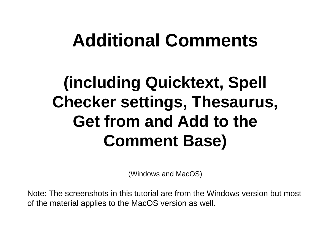# **Additional Comments**

## **(including Quicktext, Spell Checker settings, Thesaurus, Get from and Add to the Comment Base)**

(Windows and MacOS)

Note: The screenshots in this tutorial are from the Windows version but most of the material applies to the MacOS version as well.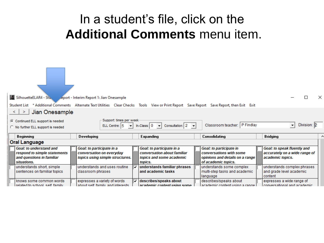### In a student's file, click on the **Additional Comments** menu item.

| 4 SilhouetteELAR4 - Stu<br>Student List * Additional Comments Alternate Text Utilities Clear Checks Tools View or Print Report Save Report Save Report, then Exit Exit |                   | keport - Interim Report 1: Jian Onesample                              |                                                          |                   |                                                    |                                                              |             | × |
|------------------------------------------------------------------------------------------------------------------------------------------------------------------------|-------------------|------------------------------------------------------------------------|----------------------------------------------------------|-------------------|----------------------------------------------------|--------------------------------------------------------------|-------------|---|
|                                                                                                                                                                        |                   |                                                                        |                                                          |                   |                                                    |                                                              |             |   |
| Jian Onesample<br>$\leq$ 1<br>$\geq$                                                                                                                                   |                   |                                                                        |                                                          |                   |                                                    |                                                              |             |   |
| C Continued ELL support is needed                                                                                                                                      |                   | Support: times per week-                                               |                                                          |                   |                                                    |                                                              |             |   |
|                                                                                                                                                                        |                   | ELL Centre: $ 5 $ $\blacktriangleright$ $\blacktriangleright$          | $\ln$ -Class: 0 $\rightarrow$                            | Consultation: 2 - | Classroom teacher: P Findlay                       | $\blacktriangledown$                                         | Division: 2 |   |
| C No further ELL support is needed                                                                                                                                     |                   |                                                                        |                                                          |                   |                                                    |                                                              |             |   |
| <b>Beginning</b>                                                                                                                                                       | Developing        |                                                                        | <b>Expanding</b>                                         |                   | Consolidating                                      | <b>Bridging</b>                                              |             | ۸ |
| Oral Language                                                                                                                                                          |                   |                                                                        |                                                          |                   |                                                    |                                                              |             |   |
|                                                                                                                                                                        |                   |                                                                        |                                                          |                   |                                                    |                                                              |             |   |
| <b>Goal: to understand and</b>                                                                                                                                         |                   |                                                                        |                                                          |                   |                                                    |                                                              |             |   |
| respond to simple statements                                                                                                                                           |                   | Goal: to participate in a<br>conversation on everyday                  | Goal: to participate in a<br>conversation about familiar |                   | Goal: to participate in<br>conversations with some | Goal: to speak fluently and<br>accurately on a wide range of |             |   |
| and questions in familiar                                                                                                                                              |                   | topics using simple structures.                                        | topics and some academic                                 |                   | opinions and details on a range                    | academic topics.                                             |             |   |
| situations.                                                                                                                                                            |                   |                                                                        | topics.                                                  |                   | of academic topics.                                |                                                              |             |   |
| understands short, simple                                                                                                                                              |                   | understands and uses routine<br>v                                      | understands familiar phrases                             |                   | understands some complex                           | understands complex phrases                                  |             |   |
| sentences on familiar topics                                                                                                                                           | classroom phrases |                                                                        | and academic tasks                                       |                   | multi-step tasks and academic                      | and grade level academic                                     |             |   |
|                                                                                                                                                                        |                   |                                                                        |                                                          |                   | language                                           | content                                                      |             |   |
| knows some common words                                                                                                                                                |                   | expresses a variety of words<br> ⊽<br>about ealf family and interests. | describes/speaks about<br>sesdamie contant ucina como.   |                   | describes/speaks about                             | expresses a wide range of<br>convergedianal and academic.    |             |   |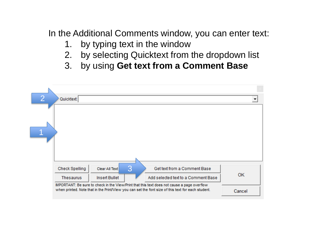In the Additional Comments window, you can enter text:

- 1. by typing text in the window
- 2. by selecting Quicktext from the dropdown list
- 3. by using **Get text from a Comment Base**

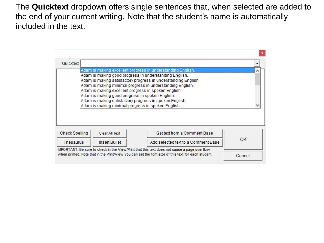The **Quicktext** dropdown offers single sentences that, when selected are added to the end of your current writing. Note that the student's name is automatically included in the text.

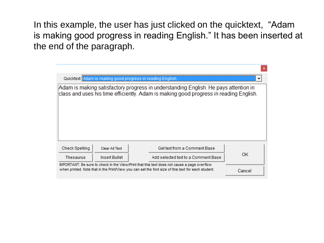In this example, the user has just clicked on the quicktext, "Adam is making good progress in reading English." It has been inserted at the end of the paragraph.

|                                                                                                                                                                                                   |                | Quicktext: Adam is making good progress in reading English.                                                                                                                  |     |
|---------------------------------------------------------------------------------------------------------------------------------------------------------------------------------------------------|----------------|------------------------------------------------------------------------------------------------------------------------------------------------------------------------------|-----|
|                                                                                                                                                                                                   |                | Adam is making satisfactory progress in understanding English. He pays attention in<br>class and uses his time efficiently. Adam is making good progress in reading English. |     |
| <b>Check Spelling</b>                                                                                                                                                                             | Clear All Text | Get text from a Comment Base                                                                                                                                                 |     |
| <b>Thesaurus</b>                                                                                                                                                                                  | Insert Bullet  | Add selected text to a Comment Base                                                                                                                                          | 0K. |
| IMPORTANT: Be sure to check in the View/Print that this text does not cause a page overflow<br>when printed. Note that in the Print/View you can set the font size of this text for each student. | Cancel         |                                                                                                                                                                              |     |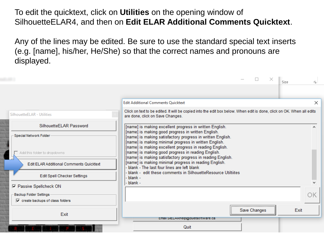To edit the quicktext, click on **Utilities** on the opening window of SilhouetteELAR4, and then on **Edit ELAR Additional Comments Quicktext**.

Any of the lines may be edited. Be sure to use the standard special text inserts (e.g. [name], his/her, He/She) so that the correct names and pronouns are displayed.

|                                                | $\times$<br>Size                                                                                                                                          | 园        |
|------------------------------------------------|-----------------------------------------------------------------------------------------------------------------------------------------------------------|----------|
|                                                |                                                                                                                                                           |          |
|                                                | <b>Edit Additional Comments Quicktext</b>                                                                                                                 | $\times$ |
| SilhouetteELAR - Utilities                     | Click on text to be edited. It will be copied into the edit box below. When edit is done, click on OK. When all edits<br>are done, click on Save Changes. |          |
| SilhouetteELAR Password                        | [name] is making excellent progress in written English.                                                                                                   |          |
| Special Network Folder                         | [name] is making good progress in written English.<br>[name] is making satisfactory progress in written English.                                          |          |
|                                                | [name] is making minimal progress in written English.<br>[name] is making excellent progress in reading English.                                          |          |
| Add this folder to dropdowns                   | [name] is making good progress in reading English.<br>[name] is making satisfactory progress in reading English.                                          |          |
| <b>Edit ELAR Additional Comments Quicktext</b> | [name] is making minimal progress in reading English.<br>blank - The last four lines are left blank                                                       |          |
| Edit Spell Checker Settings                    | blank - edit these comments in SilhouetteResource Utiltiites<br>blank -                                                                                   |          |
| <b>▽ Passive Spellcheck ON</b>                 | blank -                                                                                                                                                   |          |
| Backup Folder Settings                         |                                                                                                                                                           |          |
| $\nabla$ create backups of class folders       |                                                                                                                                                           |          |
| Exit                                           | Save Changes                                                                                                                                              | Exit     |
|                                                | Email SIIELARHelp@quetsoftware.ca                                                                                                                         |          |
|                                                | Quit                                                                                                                                                      |          |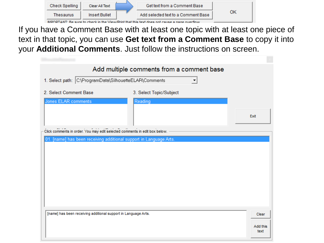| <b>Check Spelling</b>                                                                        | Clear All Text | <b>Get text from a Comment Base</b> |  |
|----------------------------------------------------------------------------------------------|----------------|-------------------------------------|--|
| Thesaurus                                                                                    | Insert Bullet  | Add selected text to a Comment Base |  |
| IMDODTANT: Release to check in the View/Drint that this text does not cause a nege overflow. |                |                                     |  |

If you have a Comment Base with at least one topic with at least one piece of text in that topic, you can use **Get text from a Comment Base** to copy it into your **Additional Comments**. Just follow the instructions on screen.

|                                                                            | Add multiple comments from a comment base |                           |
|----------------------------------------------------------------------------|-------------------------------------------|---------------------------|
| 1. Select path: C:\ProgramData\SilhouetteELAR\Comments                     |                                           |                           |
| 2. Select Comment Base                                                     | 3. Select Topic/Subject                   |                           |
| Jones ELAR comments                                                        | Reading                                   |                           |
|                                                                            |                                           | Exit                      |
| Click comments in order. You may edit selected comments in edit box below. |                                           |                           |
| [name] has been receiving additional support in Language Arts.<br>01       |                                           |                           |
| [name] has been receiving additional support in Language Arts.             |                                           | Clear<br>Add this<br>text |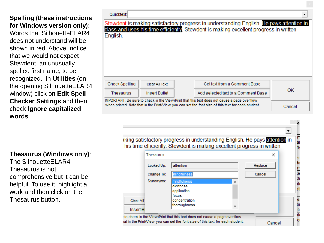#### **Spelling (these instructions for Windows version only)**:

Words that SilhouetteELAR4 does not understand will be shown in red. Above, notice that we would not expect Stewdent, an unusually spelled first name, to be recognized. In **Utilities** (on the opening SilhouetteELAR4 window) click on **Edit Spell Checker Settings** and then check **Ignore capitalized words**.

| Quicktext:                                                                                                                                                                                        |                |                                                                                                                                                                                  |     |
|---------------------------------------------------------------------------------------------------------------------------------------------------------------------------------------------------|----------------|----------------------------------------------------------------------------------------------------------------------------------------------------------------------------------|-----|
| English.                                                                                                                                                                                          |                | Stewdent is making satisfactory progress in understanding English. He pays attention in<br>class and uses his time efficiently. Stewdent is making excellent progress in written |     |
| <b>Check Spelling</b>                                                                                                                                                                             | Clear All Text | Get text from a Comment Base                                                                                                                                                     |     |
| Thesaurus                                                                                                                                                                                         | Insert Bullet  | Add selected text to a Comment Base                                                                                                                                              | 0K. |
| IMPORTANT: Be sure to check in the View/Print that this text does not cause a page overflow<br>when printed. Note that in the Print/View you can set the font size of this text for each student. | Cancel         |                                                                                                                                                                                  |     |



#### **Thesaurus (Windows only)**:

The SilhouetteELAR4 Thesaurus is not comprehensive but it can be helpful. To use it, highlight a work and then click on the Thesaurus button.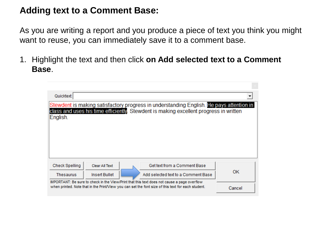### **Adding text to a Comment Base:**

As you are writing a report and you produce a piece of text you think you might want to reuse, you can immediately save it to a comment base.

1. Highlight the text and then click **on Add selected text to a Comment Base**.

| Quicktext:            |                |                                                                                                                                                                                                                                          |        |
|-----------------------|----------------|------------------------------------------------------------------------------------------------------------------------------------------------------------------------------------------------------------------------------------------|--------|
| English.              |                | Stewdent is making satisfactory progress in understanding English. He pays attention in<br>class and uses his time efficiently. Stewdent is making excellent progress in written                                                         |        |
| <b>Check Spelling</b> | Clear All Text | Get text from a Comment Base                                                                                                                                                                                                             | OK.    |
| Thesaurus             | Insert Bullet  | Add selected text to a Comment Base<br>IMPORTANT: Be sure to check in the View/Print that this text does not cause a page overflow<br>when printed. Note that in the Print/View you can set the font size of this text for each student. |        |
|                       |                |                                                                                                                                                                                                                                          | Cancel |